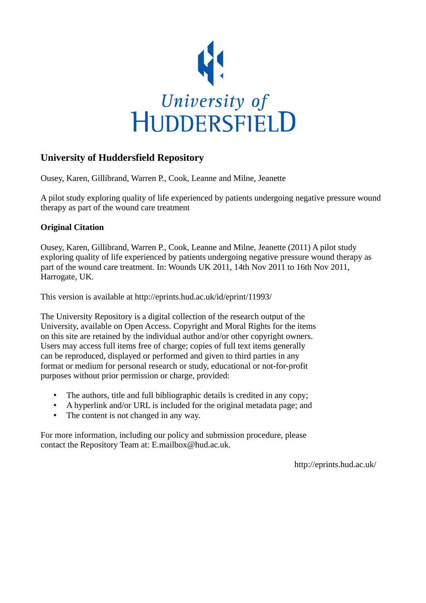

# **University of Huddersfield Repository**

Ousey, Karen, Gillibrand, Warren P., Cook, Leanne and Milne, Jeanette

A pilot study exploring quality of life experienced by patients undergoing negative pressure wound therapy as part of the wound care treatment

## **Original Citation**

Ousey, Karen, Gillibrand, Warren P., Cook, Leanne and Milne, Jeanette (2011) A pilot study exploring quality of life experienced by patients undergoing negative pressure wound therapy as part of the wound care treatment. In: Wounds UK 2011, 14th Nov 2011 to 16th Nov 2011, Harrogate, UK.

This version is available at http://eprints.hud.ac.uk/id/eprint/11993/

The University Repository is a digital collection of the research output of the University, available on Open Access. Copyright and Moral Rights for the items on this site are retained by the individual author and/or other copyright owners. Users may access full items free of charge; copies of full text items generally can be reproduced, displayed or performed and given to third parties in any format or medium for personal research or study, educational or not-for-profit purposes without prior permission or charge, provided:

- The authors, title and full bibliographic details is credited in any copy;
- A hyperlink and/or URL is included for the original metadata page; and
- The content is not changed in any way.

For more information, including our policy and submission procedure, please contact the Repository Team at: E.mailbox@hud.ac.uk.

http://eprints.hud.ac.uk/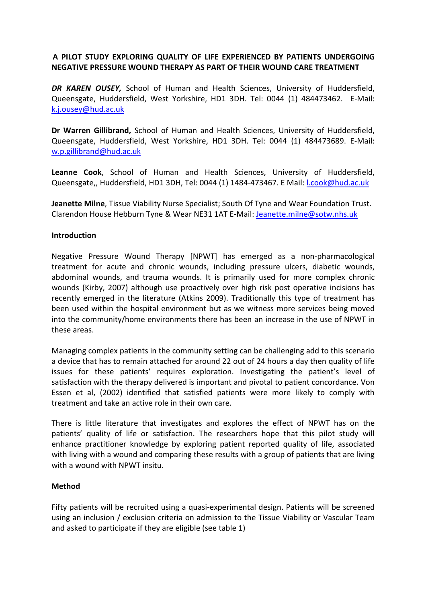## A PILOT STUDY EXPLORING QUALITY OF LIFE EXPERIENCED BY PATIENTS UNDERGOING NEGATIVE PRESSURE WOUND THERAPY AS PART OF THEIR WOUND CARE TREATMENT

DR KAREN OUSEY, School of Human and Health Sciences, University of Huddersfield, Queensgate, Huddersfield, West Yorkshire, HD1 3DH. Tel: 0044 (1) 484473462. E-Mail: k.j.ousey@hud.ac.uk

Dr Warren Gillibrand, School of Human and Health Sciences, University of Huddersfield, Queensgate, Huddersfield, West Yorkshire, HD1 3DH. Tel: 0044 (1) 484473689. E-Mail: w.p.gillibrand@hud.ac.uk

Leanne Cook, School of Human and Health Sciences, University of Huddersfield, Queensgate,, Huddersfield, HD1 3DH, Tel: 0044 (1) 1484-473467. E Mail: *l.cook@hud.ac.uk* 

Jeanette Milne, Tissue Viability Nurse Specialist; South Of Tyne and Wear Foundation Trust. Clarendon House Hebburn Tyne & Wear NE31 1AT E-Mail: Jeanette.milne@sotw.nhs.uk

#### **Introduction**

Negative Pressure Wound Therapy [NPWT] has emerged as a non-pharmacological treatment for acute and chronic wounds, including pressure ulcers, diabetic wounds, abdominal wounds, and trauma wounds. It is primarily used for more complex chronic wounds (Kirby, 2007) although use proactively over high risk post operative incisions has recently emerged in the literature (Atkins 2009). Traditionally this type of treatment has been used within the hospital environment but as we witness more services being moved into the community/home environments there has been an increase in the use of NPWT in these areas.

Managing complex patients in the community setting can be challenging add to this scenario a device that has to remain attached for around 22 out of 24 hours a day then quality of life issues for these patients' requires exploration. Investigating the patient's level of satisfaction with the therapy delivered is important and pivotal to patient concordance. Von Essen et al, (2002) identified that satisfied patients were more likely to comply with treatment and take an active role in their own care.

There is little literature that investigates and explores the effect of NPWT has on the patients' quality of life or satisfaction. The researchers hope that this pilot study will enhance practitioner knowledge by exploring patient reported quality of life, associated with living with a wound and comparing these results with a group of patients that are living with a wound with NPWT insitu.

#### Method

Fifty patients will be recruited using a quasi-experimental design. Patients will be screened using an inclusion / exclusion criteria on admission to the Tissue Viability or Vascular Team and asked to participate if they are eligible (see table 1)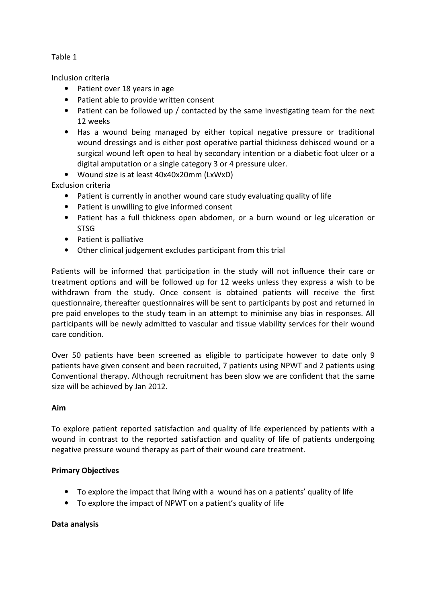Table 1

Inclusion criteria

- Patient over 18 years in age
- Patient able to provide written consent
- Patient can be followed up / contacted by the same investigating team for the next 12 weeks
- Has a wound being managed by either topical negative pressure or traditional wound dressings and is either post operative partial thickness dehisced wound or a surgical wound left open to heal by secondary intention or a diabetic foot ulcer or a digital amputation or a single category 3 or 4 pressure ulcer.
- Wound size is at least 40x40x20mm (LxWxD)

Exclusion criteria

- Patient is currently in another wound care study evaluating quality of life
- Patient is unwilling to give informed consent
- Patient has a full thickness open abdomen, or a burn wound or leg ulceration or **STSG**
- Patient is palliative
- Other clinical judgement excludes participant from this trial

Patients will be informed that participation in the study will not influence their care or treatment options and will be followed up for 12 weeks unless they express a wish to be withdrawn from the study. Once consent is obtained patients will receive the first questionnaire, thereafter questionnaires will be sent to participants by post and returned in pre paid envelopes to the study team in an attempt to minimise any bias in responses. All participants will be newly admitted to vascular and tissue viability services for their wound care condition.

Over 50 patients have been screened as eligible to participate however to date only 9 patients have given consent and been recruited, 7 patients using NPWT and 2 patients using Conventional therapy. Although recruitment has been slow we are confident that the same size will be achieved by Jan 2012.

#### Aim

To explore patient reported satisfaction and quality of life experienced by patients with a wound in contrast to the reported satisfaction and quality of life of patients undergoing negative pressure wound therapy as part of their wound care treatment.

#### Primary Objectives

- To explore the impact that living with a wound has on a patients' quality of life
- To explore the impact of NPWT on a patient's quality of life

#### Data analysis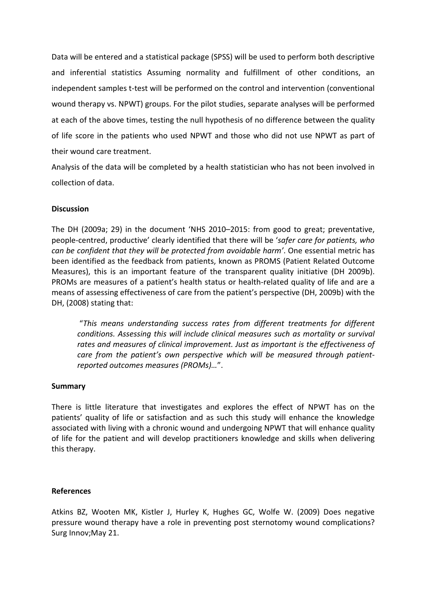Data will be entered and a statistical package (SPSS) will be used to perform both descriptive and inferential statistics Assuming normality and fulfillment of other conditions, an independent samples t-test will be performed on the control and intervention (conventional wound therapy vs. NPWT) groups. For the pilot studies, separate analyses will be performed at each of the above times, testing the null hypothesis of no difference between the quality of life score in the patients who used NPWT and those who did not use NPWT as part of their wound care treatment.

Analysis of the data will be completed by a health statistician who has not been involved in collection of data.

## **Discussion**

The DH (2009a; 29) in the document 'NHS 2010–2015: from good to great; preventative, people-centred, productive' clearly identified that there will be 'safer care for patients, who can be confident that they will be protected from avoidable harm'. One essential metric has been identified as the feedback from patients, known as PROMS (Patient Related Outcome Measures), this is an important feature of the transparent quality initiative (DH 2009b). PROMs are measures of a patient's health status or health-related quality of life and are a means of assessing effectiveness of care from the patient's perspective (DH, 2009b) with the DH, (2008) stating that:

"This means understanding success rates from different treatments for different conditions. Assessing this will include clinical measures such as mortality or survival rates and measures of clinical improvement. Just as important is the effectiveness of care from the patient's own perspective which will be measured through patientreported outcomes measures (PROMs)…".

#### Summary

There is little literature that investigates and explores the effect of NPWT has on the patients' quality of life or satisfaction and as such this study will enhance the knowledge associated with living with a chronic wound and undergoing NPWT that will enhance quality of life for the patient and will develop practitioners knowledge and skills when delivering this therapy.

#### References

Atkins BZ, Wooten MK, Kistler J, Hurley K, Hughes GC, Wolfe W. (2009) Does negative pressure wound therapy have a role in preventing post sternotomy wound complications? Surg Innov;May 21.